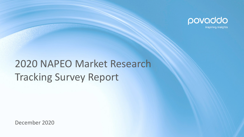

## 2020 NAPEO Market Research Tracking Survey Report

December 2020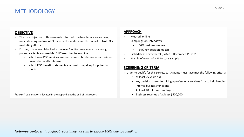## METHODOLOGY

### **OBJECTIVE**

- The core objective of this research is to track the benchmark awareness, understanding and use of PEOs to better understand the impact of NAPEO's marketing efforts.
- Further, this research looked to uncover/confirm core concerns among potential clients and use MaxDiff\* exercises to examine:
	- Which core PEO services are seen as most burdensome for business owners to handle inhouse
	- Which PEO benefit statements are most compelling for potential clients

\*MaxDiff explanation is located in the appendix at the end of this report

#### **APPROACH**

- Method: online
- Sampling: 500 interviews
	- 66% business owners
	- 34% key decision makers
- Field dates: November 30, 2020 December 11, 2020
- Margin of error: ±4.4% for total sample

#### **SCREENING CRITERIA**

In order to qualify for this survey, participants must have met the following criteria:

- At least 25 years old
- Key decision maker for hiring a professional services firm to help handle internal business functions
- At least 10 full-time employees
- Business revenue of at least \$500,000

*Note—percentages throughout report may not sum to exactly 100% due to rounding.*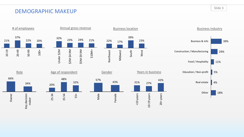## DEMOGRAPHIC MAKEUP



Slide 3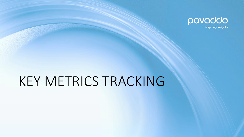

inspiring insights

## KEY METRICS TRACKING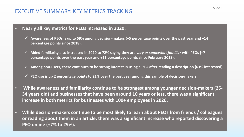## EXECUTIVE SUMMARY: KEY METRICS TRACKING

- **Nearly all key metrics for PEOs increased in 2020:**
	- **Awareness of PEOs is up to 59% among decision-makers (+5 percentage points over the past year and +14 percentage points since 2018).**
	- **Aided familiarity also increased in 2020 to 72% saying they are** *very or somewhat familiar* **with PEOs (+7 percentage points over the past year and +11 percentage points since February 2018).**
	- **Among non-users, there continues to be strong interest in using a PEO after reading a description (63% interested).**
	- **PEO use is up 2 percentage points to 21% over the past year among this sample of decision-makers.**
- **While awareness and familiarity continue to be strongest among younger decision-makers (25- 34 years old) and businesses that have been around 10 years or less, there was a significant increase in both metrics for businesses with 100+ employees in 2020.**
- **While decision-makers continue to be most likely to learn about PEOs from friends / colleagues or reading about them in an article, there was a significant increase who reported discovering a PEO online (+7% to 29%).**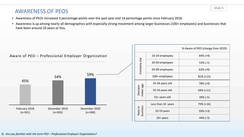## AWARENESS OF PEOS

- Awareness of PEOs increased 5 percentage points over the past year and 14 percentage points since February 2018.
- Awareness is up among nearly all demographics with especially strong movement among larger businesses (100+ employees) and businesses that have been around 10 years or less.

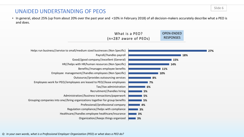### UNAIDED UNDERSTANDING OF PEOS

• In general, about 25% (up from about 20% over the past year and <10% in February 2018) of all decision-makers accurately describe what a PEO is and does.

| What is a PEO?          | <b>OPEN-ENDED</b> |
|-------------------------|-------------------|
| $(n=287$ aware of PEOs) | <b>RESPONSES</b>  |

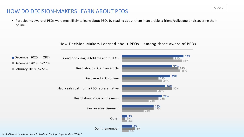## HOW DO DECISION-MAKERS LEARN ABOUT PEOS

• Participants aware of PEOs were most likely to learn about PEOs by reading about them in an article, a friend/colleague or discovering them online.





*Q: And how did you learn about Professional Employer Organizations (PEOs)?*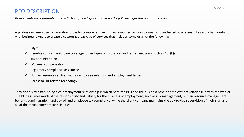## PEO DESCRIPTION

*Respondents were presented this PEO description before answering the following questions in this section.*

A professional employer organization provides comprehensive human resources services to small and mid-sized businesses. They work hand-in-hand with business owners to create a customized package of services that includes some or all of the following:

- $\checkmark$  Payroll
- $\checkmark$  Benefits such as healthcare coverage, other types of insurance, and retirement plans such as 401(k)s
- $\checkmark$  Tax administration
- $\checkmark$  Workers' compensation
- $\checkmark$  Regulatory compliance assistance
- $\checkmark$  Human resource services such as employee relations and employment issues
- $\checkmark$  Access to HR-related technology

They do this by establishing a co-employment relationship in which both the PEO and the business have an employment relationship with the worker. The PEO assumes much of the responsibility and liability for the business of employment, such as risk management, human resource management, benefits administration, and payroll and employee tax compliance, while the client company maintains the day-to-day supervision of their staff and all of the management responsibilities.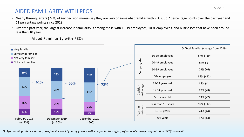## AIDED FAMILIARITY WITH PEOS

- Nearly three-quarters (72%) of key decision makers say they are very or somewhat familiar with PEOs, up 7 percentage points over the past year and 11 percentage points since 2018.
- Over the past year, the largest increase in familiarity is among those with 10-19 employees, 100+ employees, and businesses that have been around less than 10 years.

Aided Familiarity with PEOs



*Q: After reading this description, how familiar would you say you are with companies that offer professional employer organization [PEO] services?*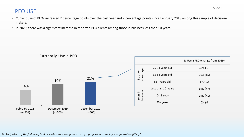## PEO USE

- Current use of PEOs increased 2 percentage points over the past year and 7 percentage points since February 2018 among this sample of decisionmakers.
- In 2020, there was a significant increase in reported PEO clients among those in business less than 10 years.

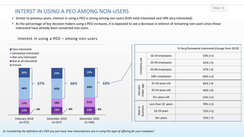## INTERST IN USING A PEO AMONG NON-USERS

- Similar to previous years, interest in using a PEO is strong among non-users (63% total interested and 19% very interested).
- As the percentage of key decision makers using a PEO increases, it is expected to see a decrease in interest of remaining non-users since those interested have already been converted into users.



|  |                       |                    | % Very/Somewhat Interested (change from 2019) |
|--|-----------------------|--------------------|-----------------------------------------------|
|  |                       | 10-19 employees    | $53\% (+1)$                                   |
|  |                       | 20-49 employees    | $65\%$ (-5)                                   |
|  | Company size          | 50-99 employees    | $67\%$ (-9)                                   |
|  |                       | 100+ employees     | $69\% (+2)$                                   |
|  |                       | 25-34 years old    | $82\%$ (-9)                                   |
|  | maker age<br>Decision | 35-54 years old    | $66\%$ (-6)                                   |
|  |                       | 55+ years old      | $53\% (+2)$                                   |
|  |                       | Less than 10 years | 78% (+1)                                      |
|  | Years in<br>business  | $10-19$ years      | $72\% (+1)$                                   |
|  |                       | $20+$ years        | $52\%$ (-7)                                   |

Interest in using a PEO – among non-users

*Q: Considering the definition of a PEO you just read, how interested are you in using this type of offering for your company?*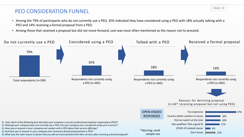## PEO CONSIDERATION FUNNEL

- Among the 79% of participants who do not currently use a PEO, 35% indicated they have considered using a PEO with 18% actually talking with a PEO and 14% receiving a formal proposal from a PEO.
- Among those that received a proposal but did not move forward, cost was most often mentioned as the reason not to proceed.

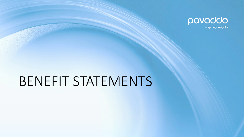

inspiring insights

## BENEFIT STATEMENTS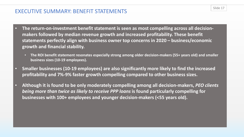## EXECUTIVE SUMMARY: BENEFIT STATEMENTS

- **The return-on-investment benefit statement is seen as most compelling across all decisionmakers followed by median revenue growth and increased profitability. These benefit statements perfectly align with business owner top concerns in 2020 – business/economic growth and financial stability.**
	- **The ROI benefit statement resonates especially strong among older decision-makers (55+ years old) and smaller business sizes (10-19 employees).**
- **Smaller businesses (10-19 employees) are also significantly more likely to find the increased profitability and 7%-9% faster growth compelling compared to other business sizes.**
- **Although it is found to be only moderately compelling among all decision-makers,** *PEO clients being more than twice as likely to receive PPP loans* **is found particularly compelling for businesses with 100+ employees and younger decision-makers (<55 years old).**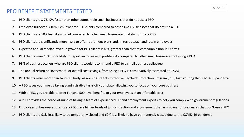## PEO BENEFIT STATEMENTS TESTED

- 1. PEO clients grow 7%-9% faster than other comparable small businesses that do not use a PEO
- 2. Employee turnover is 10%-14% lower for PEO clients compared to other small businesses that do not use a PEO
- 3. PEO clients are 50% less likely to fail compared to other small businesses that do not use a PEO
- 4. PEO clients are significantly more likely to offer retirement plans and, in turn, attract and retain employees
- 5. Expected annual median revenue growth for PEO clients is 40% greater than that of comparable non-PEO firms
- 6. PEO clients were 16% more likely to report an increase in profitability compared to other small businesses not using a PEO
- 7. 98% of business owners who are PEO clients would recommend a PEO to a small business colleague
- 8. The annual return on investment, or overall cost savings, from using a PEO is conservatively estimated at 27.2%
- 9. PEO clients were more than twice as likely as non-PEO clients to receive Paycheck Protection Program (PPP) loans during the COVID-19 pandemic
- 10. A PEO saves you time by taking administrative tasks off your plate, allowing you to focus on your core business
- 11. With a PEO, you are able to offer Fortune 500-level benefits to your employees at an affordable cost
- 12. A PEO provides the peace-of-mind of having a team of experienced HR and employment experts to help you comply with government regulations
- 13. Employees of businesses that use a PEO have higher levels of job satisfaction and engagement than employees of businesses that don't use a PEO
- 14. PEO clients are 91% less likely to be temporarily closed and 60% less likely to have permanently closed due to the COVID-19 pandemic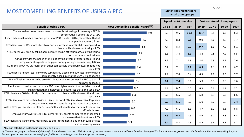#### Slide 16

## MOST COMPELLING BENEFITS OF USING A PEO

#### **Statistically higher score than all other groups**

|                                                                                                                                                   |                                           | Age of decision-maker |       |       | <b>Business size (# of employees)</b> |       |       |        |
|---------------------------------------------------------------------------------------------------------------------------------------------------|-------------------------------------------|-----------------------|-------|-------|---------------------------------------|-------|-------|--------|
| <b>Benefit of Using a PEO</b>                                                                                                                     | <b>Most Compelling Benefit (MaxDiff*)</b> | 25-34                 | 35-54 | $55+$ | $10-19$                               | 20-49 | 50-99 | $100+$ |
| The annual return on investment, or overall cost savings, from using a PEO is<br>conservatively estimated at 27.2%                                | 9.9                                       | 8.6                   | 9.6   | 11.2  | 11.7                                  | 9.8   | 9.7   | 8.3    |
| Expected annual median revenue growth for PEO clients is 40% greater than that of<br>comparable non-PEO firms                                     | 8.7                                       | 7.6                   | 8.3   | 9.8   | 9.9                                   | 8.6   | 8.6   | 7.7    |
| PEO clients were 16% more likely to report an increase in profitability compared to<br>other small businesses not using a PEO                     | 8.5                                       | 7.7                   | 8.3   | 9.2   | 9.7                                   | 8.3   | 7.9   | 8.1    |
| A PEO saves you time by taking administrative tasks off your plate, allowing you to<br>focus on your core business                                | 7.8                                       | 6.8                   | 7.4   | 8.9   | 8.8                                   | 7.8   | 7.9   | 6.5    |
| A PEO provides the peace-of-mind of having a team of experienced HR and<br>employment experts to help you comply with government regulations      | 7.5                                       | 7.9                   | 7.1   | 7.8   | 8.0                                   | 7.3   | 7.2   | 7.6    |
| PEO clients grow 7%-9% faster than other comparable small businesses that do not<br>use a PEO                                                     | 7.4                                       | 6.7                   | 7.1   | 8.2   | 8.5                                   | 7.1   | 7.3   | 6.7    |
| PEO clients are 91% less likely to be temporarily closed and 60% less likely to have<br>permanently closed due to the COVID-19 pandemic           | 7.2                                       | 7.4                   | 7.6   | 6.4   | 6.3                                   | 7.2   | 7.5   | 7.7    |
| 98% of business owners who are PEO clients would recommend a PEO to a small<br>business colleague                                                 | 7.0                                       | 7.4                   | 7.4   | 6.1   | 5.9                                   | 6.9   | 7.5   | 7.6    |
| Employees of businesses that use a PEO have higher levels of job satisfaction and<br>engagement than employees of businesses that don't use a PEO | 6.7                                       | 7.2                   | 6.7   | 6.5   | 6.5                                   | 6.7   | 6.7   | 7.1    |
| PEO clients are 50% less likely to fail compared to other small businesses that do not<br>use a PEO                                               | 6.2                                       | 6.3                   | 6.5   | 5.8   | 5.8                                   | 6.3   | 6.3   | 6.6    |
| PEO clients were more than twice as likely as non-PEO clients to receive Paycheck<br>Protection Program (PPP) loans during the COVID-19 pandemic  | 6.2                                       | 6.9                   | 6.5   | 5.2   | 5.0                                   | 6.2   | 6.0   | 7.4    |
| With a PEO, you are able to offer Fortune 500-level benefits to your employees at an<br>affordable cost                                           | 6.0                                       | 7.0                   | 6.1   | 5.3   | 4.7                                   | 6.1   | 6.3   | 6.8    |
| Employee turnover is 10%-14% lower for PEO clients compared to other small<br>businesses that do not use a PEO                                    | 5.7                                       | 5.9                   | 6.2   | 4.9   | 4.6                                   | 6.0   | 5.8   | 6.3    |
| PEO clients are significantly more likely to offer retirement plans and, in turn, attract<br>and retain employees                                 | 5.3                                       | 6.4                   | 5.3   | 4.8   | 4.5                                   | 5.6   | 5.3   | 5.7    |

\*MaxDiff calculation explained in appendix on slide 31.

Q: Now we are going to review multiple benefits for businesses that use a PEO. On each of the next several screens you will see 4 benefits of using a PEO. For each exercise, please select the benefit you find most compelli *business (LEFT COLUMN) and the benefit you find least compelling for your business (RIGHT COLUMN).*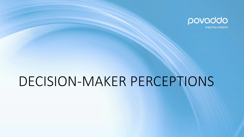

inspiring insights

## DECISION-MAKER PERCEPTIONS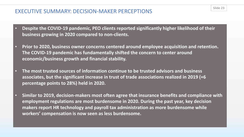### EXECUTIVE SUMMARY: DECISION-MAKER PERCEPTIONS

- **Despite the COVID-19 pandemic, PEO clients reported significantly higher likelihood of their business growing in 2020 compared to non-clients.**
- **Prior to 2020, business owner concerns centered around employee acquisition and retention. The COVID-19 pandemic has fundamentally shifted the concern to center around economic/business growth and financial stability.**
- **The most trusted sources of information continue to be trusted advisors and business associates, but the significant increase in trust of trade associations realized in 2019 (+6 percentage points to 28%) held in 2020.**
- **Similar to 2019, decision-makers most often agree that insurance benefits and compliance with employment regulations are most burdensome in 2020. During the past year, key decision makers report HR technology and payroll tax administration as more burdensome while workers' compensation is now seen as less burdensome.**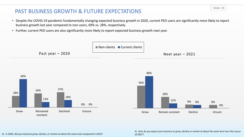## PAST BUSINESS GROWTH & FUTURE EXPECTATIONS

- Despite the COVID-19 pandemic fundamentally changing expected business growth in 2020, current PEO users are significantly more likely to report business growth last year compared to non-users, 69% vs. 28%, respectively.
- Further, current PEO users are also significantly more likely to report expected business growth next year.





*Q: And, do you expect your business to grow, decline or remain at about the same level over the course of 2021?*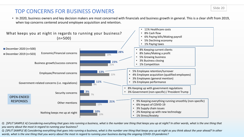## TOP CONCERNS FOR BUSINESS OWNERS

• In 2020, business owners and key decision makers are most concerned with financials and business growth in general. This is a clear shift from 2019, when top concerns centered around employee acquisition and retention.



*Q: [SPLIT SAMPLE A] Considering everything that goes into running a business, what is the number one thing that keeps you up at night? In other words, what is the one thing that you worry about the most in regard to running your business?*

*Q: [SPLIT SAMPLE B] Considering everything that goes into running a business, what is the number one thing that keeps you up at night as you think about the year ahead? In other words, what is the one thing that you worry about the most in regard to running your business during the ongoing COVID-19 pandemic?*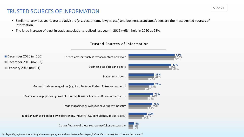## TRUSTED SOURCES OF INFORMATION

- Similar to previous years, trusted advisors (e.g. accountant, lawyer, etc.) and business associates/peers are the most trusted sources of information.
- The large increase of trust in trade associations realized last year in 2019 (+6%), held in 2020 at 28%.



#### Trusted Sources of Information

*Q: Regarding information and insights on managing your business better, what do you find are the most useful and trustworthy sources?*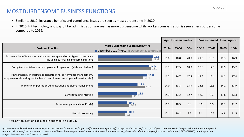## MOST BURDENSOME BUSINESS FUNCTIONS

- Similar to 2019, insurance benefits and compliance issues are seen as most burdensome in 2020.
- In 2020, HR technology and payroll tax administration are seen as more burdensome while workers compensation is seen as less burdensome compared to 2019.

|                                                                                                                                                       |                                                                                        |       | Age of decision-maker |       |       | <b>Business size (# of employees)</b> |       |        |  |
|-------------------------------------------------------------------------------------------------------------------------------------------------------|----------------------------------------------------------------------------------------|-------|-----------------------|-------|-------|---------------------------------------|-------|--------|--|
| <b>Business Function</b>                                                                                                                              | <b>Most Burdensome Score (MaxDiff*)</b><br>December 2020 (n=500) December 2019 (n=503) | 25-34 | $35 - 54$             | $55+$ | 10-19 | $20 - 49$                             | 50-99 | $100+$ |  |
| Insurance benefits such as healthcare coverage and other types of insurance<br>(including purchasing and administration)                              | 18.8<br>18.6                                                                           | 16.8  | 18.8                  | 20.0  | 21.3  | 18.6                                  | 18.3  | 16.9   |  |
| Compliance assistance with employment regulations (state and federal)                                                                                 | 17.5<br>18.1                                                                           | 15.3  | 17.5                  | 18.8  | 18.6  | 17.8                                  | 17.9  | 15.2   |  |
| HR technology (including applicant tracking, performance management,<br>employee on-boarding, online benefit enrollment, employee self-service, etc.) | 16.8<br>15.4                                                                           | 16.2  | 16.7                  | 17.4  | 17.6  | 16.4                                  | 16.2  | 17.4   |  |
| Workers compensation administration and claims management                                                                                             | 13.6<br>16.1                                                                           | 14.0  | 13.3                  | 13.9  | 13.1  | 13.5                                  | 14.1  | 13.9   |  |
| Payroll tax administration                                                                                                                            | 13.3<br>11.7                                                                           | 14.3  | 13.2                  | 12.7  | 12.9  | 13.3                                  | 13.6  | 13.3   |  |
| Retirement plans such as 401k(s)                                                                                                                      | <b>10.0</b><br>10.8                                                                    | 11.3  | 10.3                  | 8.8   | 8.6   | 9.9                                   | 10.1  | 11.7   |  |
| Payroll processing                                                                                                                                    | <b>10.0</b><br>9.3                                                                     | 12.1  | 10.2                  | 8.5   | 8.1   | 10.5                                  | 9.8   | 11.5   |  |

\*MaxDiff calculation explained in appendix on slide 31.

*Q: Now I want to know how burdensome your core business functions are for you and/or someone on your staff throughout the course of the a typical year . In other words, in a year where there is not a global*  pandemic. On each of the next several screens you will see 3 business functions listed on each screen. For each exercise, please select the function you find most burdensome (LEFT COLUMN) and the function *you find least burdensome (RIGHT COLUMN).*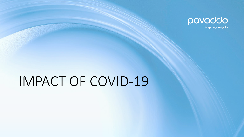

inspiring insights

# IMPACT OF COVID-19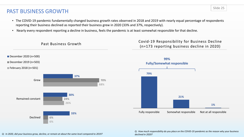## PAST BUSINESS GROWTH

- The COVID-19 pandemic fundamentally changed business growth rates observed in 2018 and 2019 with nearly equal percentage of respondents reporting their business declined as reported their business grew in 2020 (33% and 37%, respectively).
- Nearly every respondent reporting a decline in business, feels the pandemic is at least somewhat responsible for that decline.



*Q: In 2020, did your business grow, decline, or remain at about the same level compared to 2019?*

*Q: How much responsibility do you place on the COVID-19 pandemic as the reason why your business declined in 2020?*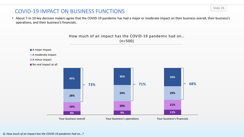## COVID-19 IMPACT ON BUSINESS FUNCTIONS

• About 7-in-10 key decision makers agree that the COVID-19 pandemic has had a major or moderate impact on their business overall, their business's operations, and their business's financials.



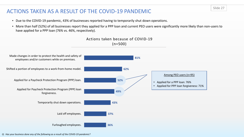## ACTIONS TAKEN AS A RESULT OF THE COVID-19 PANDEMIC

- Due to the COVID-19 pandemic, 43% of businesses reported having to temporarily shut down operations.
- More than half (52%) of all businesses report they applied for a PPP loan and current PEO users were significantly more likely than non-users to have applied for a PPP loan (76% vs. 46%, respectively).





*Q: Has your business done any of the following as a result of the COVID-19 pandemic?*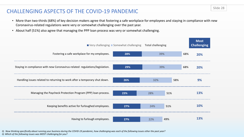## CHALLENGING ASPECTS OF THE COVID-19 PANDEMIC

- More than two-thirds (68%) of key decision makers agree that fostering a safe workplace for employees and staying in compliance with new Coronavirus-related regulations were very or somewhat challenging over the past year.
- About half (51%) also agree that managing the PPP loan process was very or somewhat challenging.



*Q: Now thinking specifically about running your business during the COVID-19 pandemic, how challenging was each of the following issues other the past year? Q: Which of the following issues was MOST challenging for you?*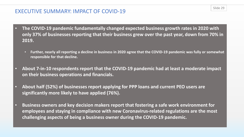## EXECUTIVE SUMMARY: IMPACT OF COVID-19

- **The COVID-19 pandemic fundamentally changed expected business growth rates in 2020 with only 37% of businesses reporting that their business grew over the past year, down from 70% in 2019.**
	- **Further, nearly all reporting a decline in business in 2020 agree that the COVID-19 pandemic was fully or somewhat responsible for that decline.**
- **About 7-in-10 respondents report that the COVID-19 pandemic had at least a moderate impact on their business operations and financials.**
- **About half (52%) of businesses report applying for PPP loans and current PEO users are significantly more likely to have applied (76%).**
- **Business owners and key decision makers report that fostering a safe work environment for employees and staying in compliance with new Coronavirus-related regulations are the most challenging aspects of being a business owner during the COVID-19 pandemic.**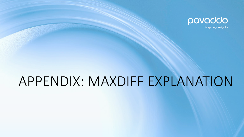

inspiring insights

## APPENDIX: MAXDIFF EXPLANATION